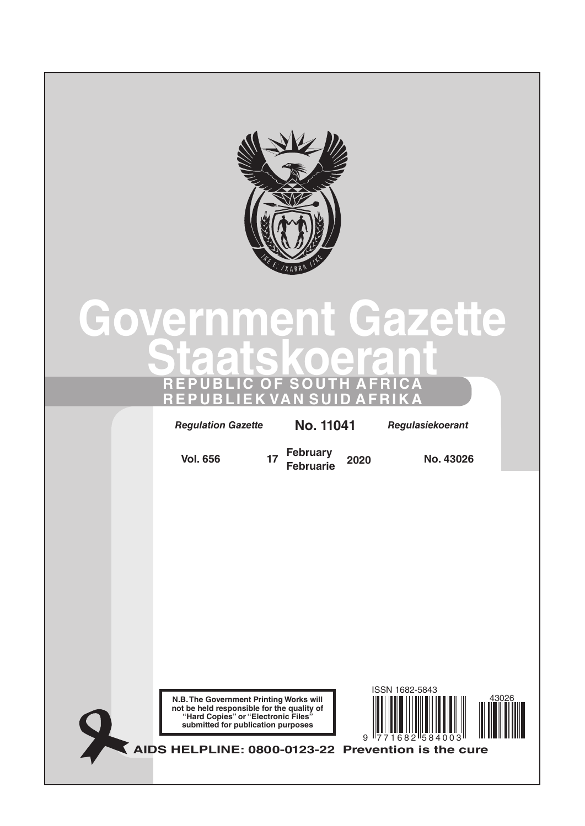

# **Government Gazette Staatskoerant REPUBLIC OF SOUTH AFRICA REPUBLIEK VAN SUID AFRIKA**

*Regulation Gazette* **No. 10177** *Regulasiekoerant Regulation Gazette* **No. 11041** *Regulasiekoerant*

**Vol. 656 <sup>17</sup> February Februarie <sup>2020</sup> No. 43026**





**AIDS HELPLINE: 0800-0123-22 Prevention is the cure**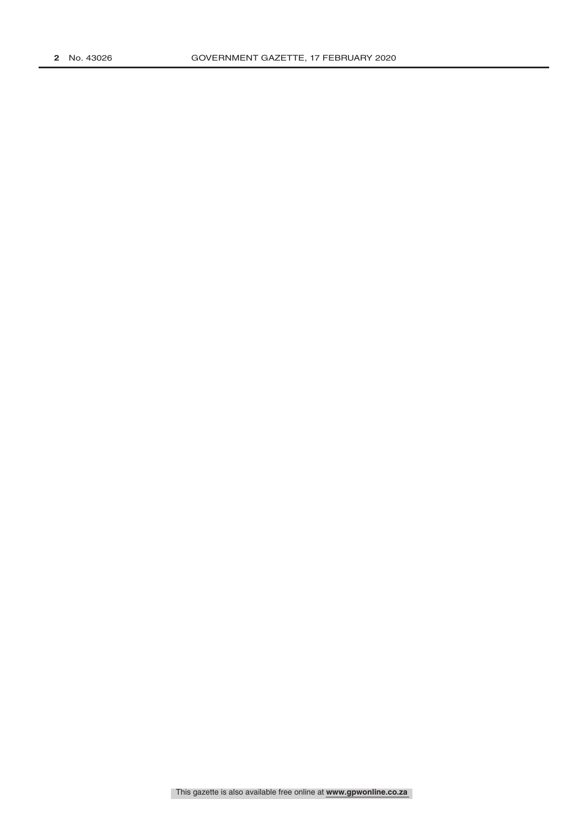This gazette is also available free online at **www.gpwonline.co.za**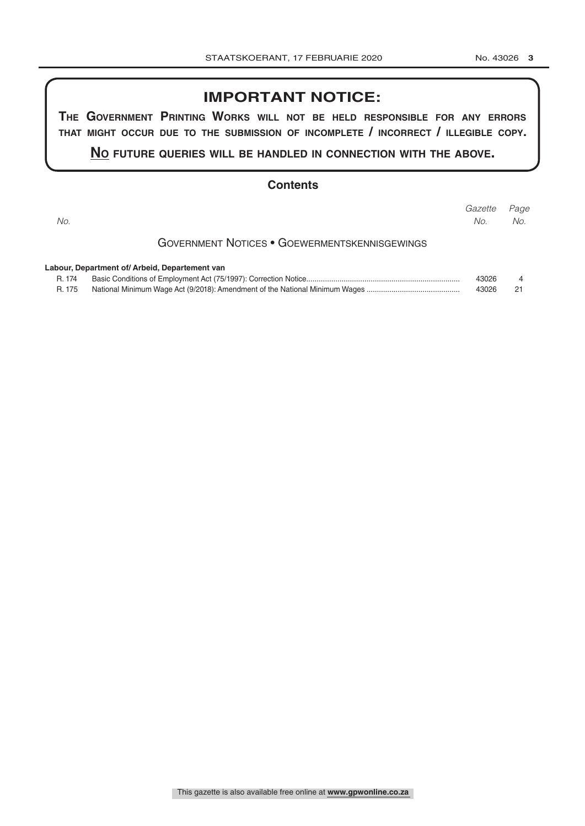## **IMPORTANT NOTICE:**

**The GovernmenT PrinTinG Works Will noT be held resPonsible for any errors ThaT miGhT occur due To The submission of incomPleTe / incorrecT / illeGible coPy.**

**no fuTure queries Will be handled in connecTion WiTh The above.**

### **Contents**

| No.    |                                                      | Gazette<br>No. | Page<br>No. |
|--------|------------------------------------------------------|----------------|-------------|
|        | <b>GOVERNMENT NOTICES • GOEWERMENTSKENNISGEWINGS</b> |                |             |
|        | Labour, Department of/ Arbeid, Departement van       |                |             |
| R. 174 |                                                      | 43026          |             |
| R. 175 |                                                      | 43026          | 21          |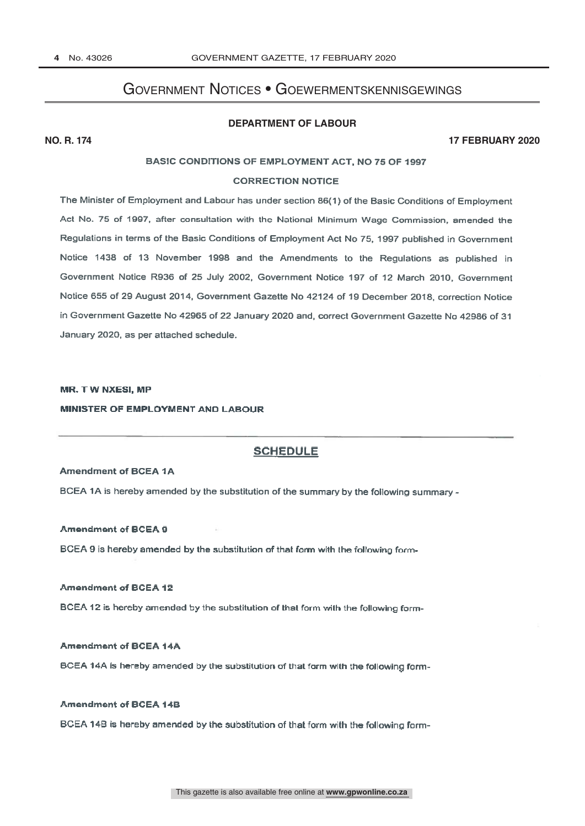## Government Notices • Goewermentskennisgewings

#### **DEPARTMENT OF LABOUR**

### $\mathsf{R}$ . R. 174

#### **NO. R. 174 17 FEBRUARY 2020**

#### BASIC CONDITIONS OF EMPLOYMENT ACT, NO 75 OF 1997

#### CORRECTION NOTICE

The Minister of Employment and Labour has under section 86(1) of the Basic Conditions of Employment Act No. 75 of 1997, after consultation with the National Minimum Wage Commission, amended the Regulations in terms of the Basic Conditions of Employment Act No 75, 1997 published in Government Notice 1438 of 13 November 1998 and the Amendments to the Regulations as published in Government Notice R936 of 25 July 2002, Government Notice 197 of 12 March 2010, Government Notice 655 of 29 August 2014, Government Gazette No 42124 of 19 December 2018, correction Notice in Government Gazette No 42965 of 22 January 2020 and, correct Government Gazette No 42986 of <sup>31</sup> January 2020, as per attached schedule.

#### MR. TW NXESI, MP

#### MINISTER OF EMPLOYMENT AND LABOUR

#### **SCHEDULE**

#### **Amendment of BCEA 1A**

BCEA 1A is hereby amended by the substitution of the summary by the following summary -

#### **Amendment of BCEA 9**

BCEA 9 is hereby amended by the substitution of that form with the following form-

#### **Amendment of RCEA 12**

BCEA 12 is hereby amended by the substitution of that form with the following form-

#### **Amendment of BCEA 14A**

BCEA 14A is hereby amended by the substitution of that form with the following form-

#### **Amendment of BCEA 14B**

BCEA 14B is hereby amended by the substitution of that form with the following form-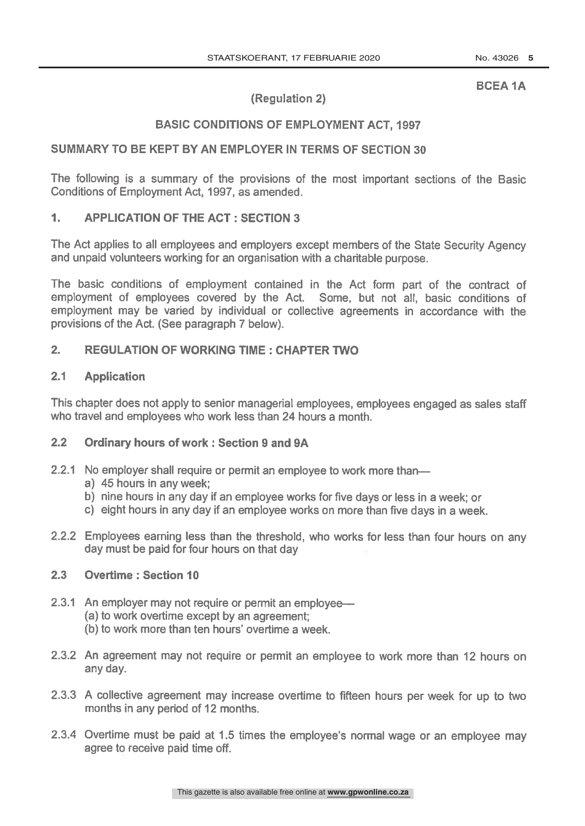BCEA 1A

(Regulation 2)

## BASIC CONDITIONS OF EMPLOYMENT ACT, 1997

## SUMMARY TO BE KEPT BY AN EMPLOYER IN TERMS OF SECTION 30

The following is a summary of the provisions of the most important sections of the Basic Conditions of Employment Act, 1997, as amended.

## 1. APPLICATION OF THE ACT: SECTION 3

The Act applies to all employees and employers except members of the State Security Agency and unpaid volunteers working for an organisation with a charitable purpose.

The basic conditions of employment contained in the Act form part of the contract of employment of employees covered by the Act. Some, but not all, basic conditions of employment may be varied by individual or collective agreements in accordance with the provisions of the Act. (See paragraph 7 below).

## 2. REGULATION OF WORKING TIME : CHAPTER TWO

## 2.1 Application

This chapter does not apply to senior managerial employees, employees engaged as sales staff who travel and employees who work less than 24 hours a month.

## 2.2 Ordinary hours of work : Section 9 and 9A

- 2.2.1 No employer shall require or permit an employee to work more than<br>
a) 45 hours in any week;<br>
b) nine hours in any day if an employee works for five days or less in
	-
	- b) nine hours in any day if an employee works for five days or less in a week; or
	- c) eight hours in any day if an employee works on more than five days in a week.
- 2.2.2 Employees earning less than the threshold, who works for less than four hours on any day must be paid for four hours on that day

## 2.3 Overtime : Section 10

- 2.3.1 An employer may not require or permit an employee—<br>(a) to work overtime except by an agreement;
	-
	- (b) to work more than ten hours' overtime a week.
- 2.3.2 An agreement may not require or permit an employee to work more than 12 hours or any day.
- 2.3.3 A collective agreement may increase overtime to fifteen hours per week for up to two months in any period of 12 months.
- 2.3.4 Overtime must be paid at 1.5 times the employee's normal wage or an employee may agree to receive paid time off.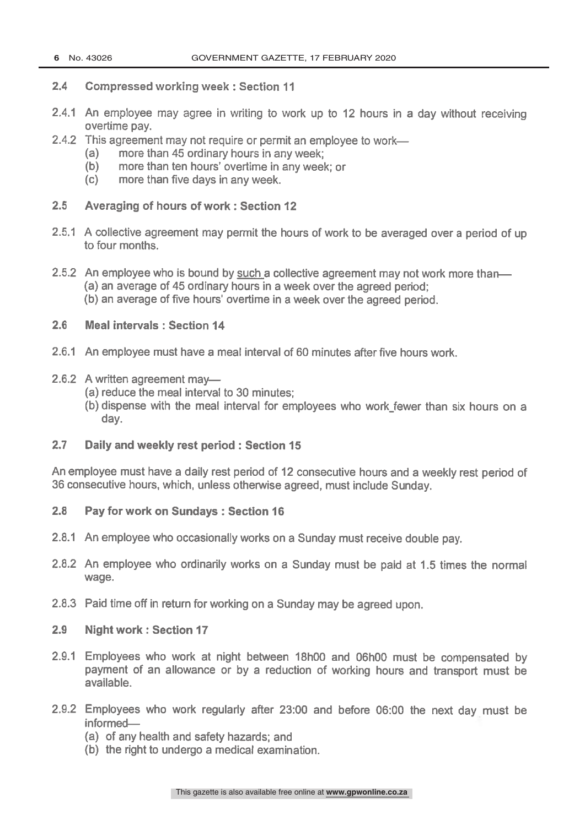- 2.4 Compressed working week : Section 11
- 2.4.1 An employee may agree in writing to work up to 12 hours in a day without receiving overtime pay.
- 2.4.2 This agreement may not require or permit an employee to work—<br>
(a) more than 45 ordinary hours in any week;<br>
(b) more than ten hours' overtime in any week; or
	- more than 45 ordinary hours in any week;
	- (b) more than ten hours' overtime in any week; or
	- (c) more than five days in any week.
- 2.5 Averaging of hours of work : Section 12
- 2.5.1 A collective agreement may permit the hours of work to be averaged over a period of up to four months.
- 2.5.2 An employee who is bound by such a collective agreement may not work more than—<br>
(a) an average of 45 ordinary hours in a week over the agreed period;<br>
(b) an average of five hours' overtime in a week over the agreed (a) an average of 45 ordinary hours in a week over the agreed period;
	- (b) an average of five hours' overtime in a week over the agreed period.
- 2.6 Meal intervals : Section 14
- 2.6.1 An employee must have a meal interval of 60 minutes after five hours work.
- 2.6.2 A written agreement may-
	- (a) reduce the meal interval to 30 minutes;
	- (b) dispense with the meal interval for employees who work fewer than six hours on a day.
- 2.7 Daily and weekly rest period : Section 15

An employee must have a daily rest period of 12 consecutive hours and a weekly rest period of 36 consecutive hours, which, unless otherwise agreed, must include Sunday.

- 2.8 Pay for work on Sundays : Section 16
- 2.8.1 An employee who occasionally works on a Sunday must receive double pay.
- 2.8.2 An employee who ordinarily works on a Sunday must be paid at 1.5 times the normal wage.
- 2.8.3 Paid time off in return for working on a Sunday may be agreed upon.
- 2.9 Night work : Section 17
- 2.9.1 Employees who work at night between 18h00 and 06h00 must be compensated by payment of an allowance or by a reduction of working hours and transport must be available.
- 2.9.2 Employees who work regularly after 23 :00 and before 06:00 the next day must be informed—<br>(a) of any health and safety hazards; and
	-
	- (b) the right to undergo a medical examination.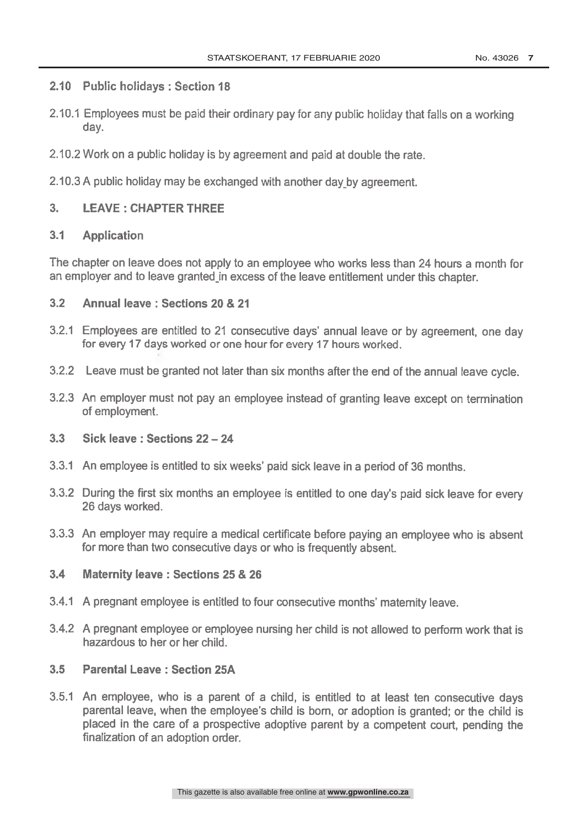## 2.10 Public holidays : Section 18

- 2.10.1 Employees must be paid their ordinary pay for any public holiday that falls on a working day.
- 2.10.2 Work on a public holiday is by agreement and paid at double the rate.
- 2.10.3 A public holiday may be exchanged with another day\_by agreement.

## 3. LEAVE : CHAPTER THREE

## 3.1 Application

The chapter on leave does not apply to an employee who works less than 24 hours a month for an employer and to leave granted in excess of the leave entitlement under this chapter.

- 3.2 Annual leave : Sections 20 & 21
- 3.2.1 Employees are entitled to 21 consecutive days' annual leave or by agreement, one day for every 17 days worked or one hour for every 17 hours worked.
- 3.2.2 Leave must be granted not later than six months after the end of the annual leave cycle.
- 3.2.3 An employer must not pay an employee instead of granting leave except on terminatior of employment.
- 3.3 Sick leave : Sections 22 24
- 3.3.1 An employee is entitled to six weeks' paid sick leave in a period of 36 months.
- 3.3.2 During the first six months an employee is entitled to one day's paid sick leave for every 26 days worked.
- 3.3.3 An employer may require a medical certificate before paying an employee who is absent for more than two consecutive days or who is frequently absent.
- 3.4 Maternity leave : Sections 25 & 26
- 3.4.1 A pregnant employee is entitled to four consecutive months' maternity leave.
- 3.4.2 A pregnant employee or employee nursing her child is not allowed to perform work that is hazardous to her or her child.

## 3.5 Parental Leave : Section 25A

3.5.1 An employee, who is a parent of a child, is entitled to at least ten consecutive days parental leave, when the employee's child is born, or adoption is granted; or the child is placed in the care of a prospective adoptive parent by a competent court, pending the finalization of an adoption order.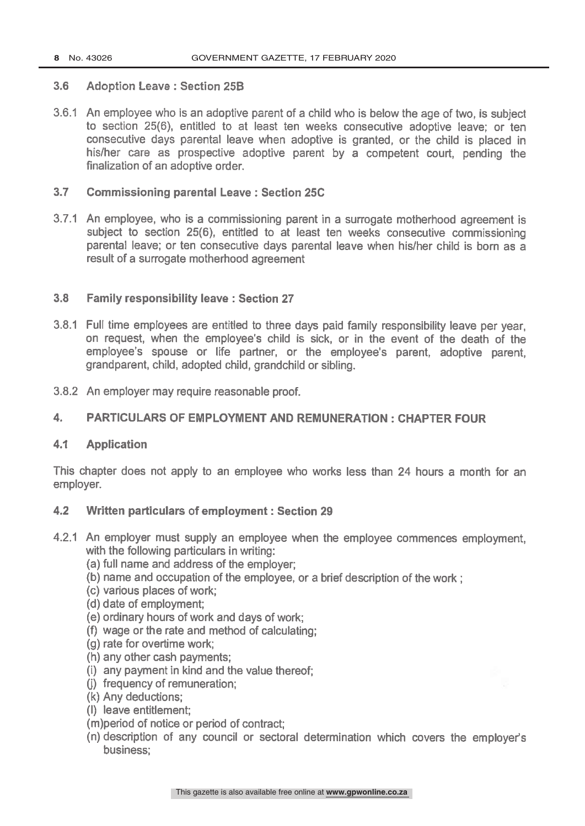## 3.6 Adoption Leave : Section 25B

3.6.1 An employee who is an adoptive parent of <sup>a</sup> child who is below the age of two, is subject to section 25(6), entitled to at least ten weeks consecutive adoptive leave; or ten consecutive days parental leave when adoptive is granted, or the child is placed in his/her care as prospective adoptive parent by a competent court, pending the finalization of an adoptive order.

## 3.7 Commissioning parental Leave : Section 25C

3.7.1 An employee, who is a commissioning parent in a surrogate motherhood agreement is subject to section 25(6), entitled to at least ten weeks consecutive commissioning parental leave; or ten consecutive days parental leave when his/her child is born as a result of a surrogate motherhood agreement

## 3.8 Family responsibility leave : Section 27

- 3.8.1 Full time employees are entitled to three days paid family responsibility leave per year, on request, when the employee's child is sick, or in the event of the death of the employee's spouse or life partner, or the employee's parent, adoptive parent, grandparent, child, adopted child, grandchild or sibling.
- 3.8.2 An employer may require reasonable proof.

## 4. PARTICULARS OF EMPLOYMENT AND REMUNERATION : CHAPTER FOUR

## 4.1 Application

This chapter does not apply to an employee who works less than 24 hours a month for an employer.

## 4.2 Written particulars of employment : Section 29

- 4.2.1 An employer must supply an employee when the employee commences employment, with the following particulars in writing:
	- (a) full name and address of the employer;
	- (b) name and occupation of the employee, or a brief description of the work ;
	- (c) various places of work;
	- (d) date of employment;
	- (e) ordinary hours of work and days of work;
	- (f) wage or the rate and method of calculating;
	- (g) rate for overtime work;
	- (h) any other cash payments;
	- (i) any payment in kind and the value thereof;
	- (j) frequency of remuneration;
	- (k) Any deductions;
	- (I) leave entitlement;
	- (m)period of notice or period of contract;
	- (n) description of any council or sectoral determination which covers the employer's business;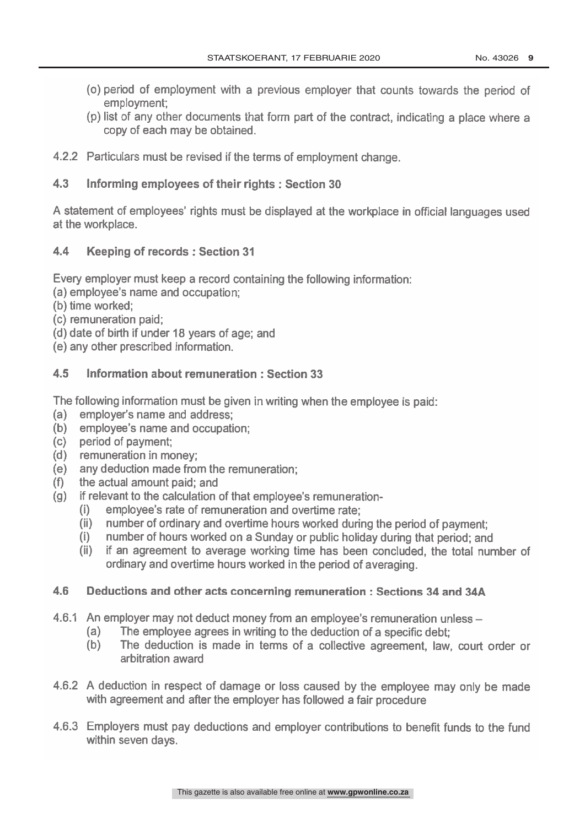- (o) period of employment with a previous employer that counts towards the period of employment;
- (p) list of any other documents that form part of the contract, indicating a place where <sup>a</sup> copy of each may be obtained.
- 4.2.2 Particulars must be revised if the terms of employment change.

## 4.3 Informing employees of their rights : Section 30

A statement of employees' rights must be displayed at the workplace in official languages used at the workplace.

## 4.4 Keeping of records : Section 31

Every employer must keep a record containing the following information:

(a) employee's name and occupation;

(b) time worked;

(c) remuneration paid;

(d) date of birth if under 18 years of age; and

(e) any other prescribed information.

## 4.5 Information about remuneration : Section 33

The following information must be given in writing when the employee is paid:

- (a) employer's name and address;
- (b) employee's name and occupation;
- (c) period of payment;
- (d) remuneration in money;
- (e) any deduction made from the remuneration;
- (f) the actual amount paid; and
- (g) if relevant to the calculation of that employee's remuneration-
	- (i) employee's rate of remuneration and overtime rate;
	- (ii) number of ordinary and overtime hours worked during the period of payment;
	- (i) number of hours worked on a Sunday or public holiday during that period; and
	- (ii) if an agreement to average working time has been concluded, the total number of ordinary and overtime hours worked in the period of averaging.

## 4.6 Deductions and other acts concerning remuneration : Sections 34 and 34A

- 4.6.1 An employer may not deduct money from an employee's remuneration unless –<br>(a) The employee agrees in writing to the deduction of a specific debt:
	- (a) The employee agrees in writing to the deduction of a specific debt;
	- (b) The deduction is made in terms of a collective agreement, law, court order or arbitration award
- 4.6.2 A deduction in respect of damage or loss caused by the employee may only be made with agreement and after the employer has followed a fair procedure
- 4.6.3 Employers must pay deductions and employer contributions to benefit funds to the fund within seven days.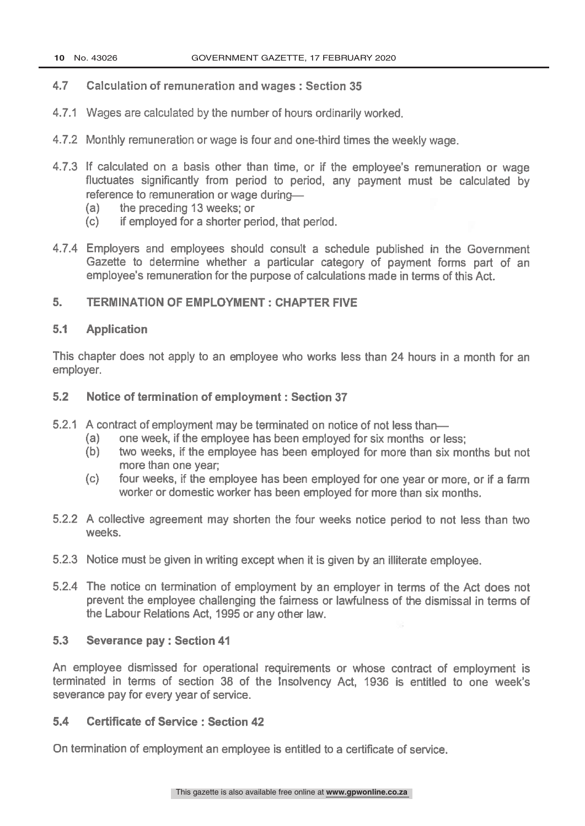- 4.7 Calculation of remuneration and wages : Section <sup>35</sup>
- 4.7.1 Wages are calculated by the number of hours ordinarily worked.
- 4.7.2 Monthly remuneration or wage is four and one-third times the weekly wage.
- 4.7.3 If calculated on a basis other than time, or if the employee's remuneration or wage fluctuates significantly from period to period, any payment must be calculated by reference to remuneration or wage during—<br>
(a) the preceding 13 weeks; or<br>
(c) if employed for a shorter period, that
	- the preceding 13 weeks; or
	- if employed for a shorter period, that period.
- 4.7.4 Employers and employees should consult a schedule published in the Government Gazette to determine whether a particular category of payment forms part of an employee's remuneration for the purpose of calculations made in terms of this Act.

## 5. TERMINATION OF EMPLOYMENT : CHAPTER FIVE

## 5.1 Application

This chapter does not apply to an employee who works less than 24 hours in a month for an employer.

## 5.2 Notice of termination of employment : Section 37

- 
- 5.2.1 A contract of employment may be terminated on notice of not less than—<br>(a) one week, if the employee has been employed for six months or le<br>(b) two weeks, if the employee has been employed for more than six one week, if the employee has been employed for six months or less;
	- (b) two weeks, if the employee has been employed for more than six months but not more than one year;
	- (c) four weeks, if the employee has been employed for one year or more, or if a farm worker or domestic worker has been employed for more than six months.
- 5.2.2 A collective agreement may shorten the four weeks notice period to not less than two weeks.
- 5.2.3 Notice must be given in writing except when it is given by an illiterate employee.
- 5.2.4 The notice on termination of employment by an employer in terms of the Act does not prevent the employee challenging the fairness or lawfulness of the dismissal in terms of the Labour Relations Act, 1995 or any other law.

## 5.3 Severance pay : Section <sup>41</sup>

An employee dismissed for operational requirements or whose contract of employment is terminated in terms of section 38 of the Insolvency Act, 1936 is entitled to one week's severance pay for every year of service.

## 5.4 Certificate of Service : Section 42

On termination of employment an employee is entitled to a certificate of service.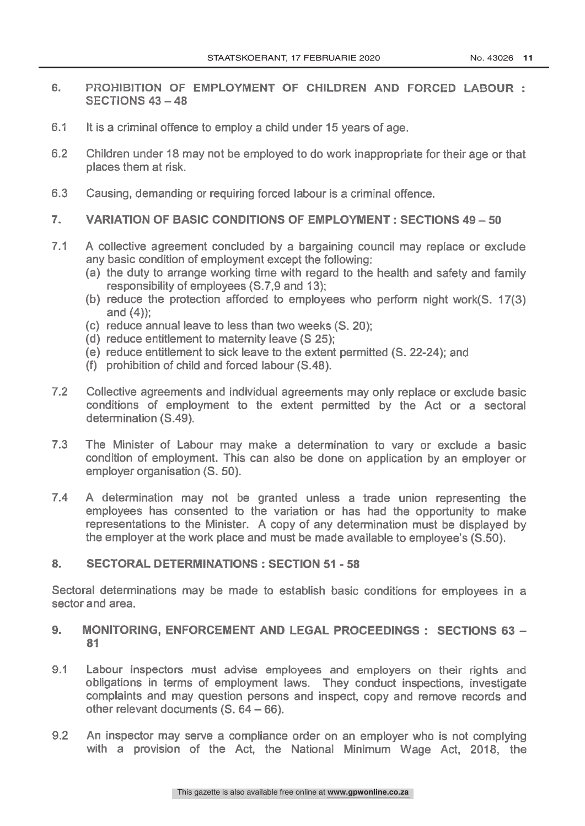- 6. PROHIBITION OF EMPLOYMENT OF CHILDREN AND FORCED LABOUR : SECTIONS 43 - 48
- 6.1 It is a criminal offence to employ a child under 15 years of age.
- 6.2 Children under 18 may not be employed to do work inappropriate for their age or that places them at risk.
- 6.3 Causing, demanding or requiring forced labour is a criminal offence.
- 7. VARIATION OF BASIC CONDITIONS OF EMPLOYMENT : SECTIONS 49 50
- 7.1 A collective agreement concluded by a bargaining council may replace or exclude any basic condition of employment except the following:
	- (a) the duty to arrange working time with regard to the health and safety and family responsibility of employees (S.7,9 and 13);
	- (b) reduce the protection afforded to employees who perform night work(S. 17(3) and (4));
	- (c) reduce annual leave to less than two weeks (S. 20);
	- (d) reduce entitlement to maternity leave (S 25);
	- (e) reduce entitlement to sick leave to the extent permitted (S. 22 -24); and
	- (f) prohibition of child and forced labour (S.48).
- 7.2 Collective agreements and individual agreements may only replace or exclude basic conditions of employment to the extent permitted by the Act or a sectoral determination (S.49).
- 7.3 The Minister of Labour may make a determination to vary or exclude a basic condition of employment. This can also be done on application by an employer or employer organisation (S. 50).
- 7.4 A determination may not be granted unless <sup>a</sup> trade union representing the employees has consented to the variation or has had the opportunity to make representations to the Minister. A copy of any determination must be displayed by the employer at the work place and must be made available to employee's (S.50).

## 8. SECTORAL DETERMINATIONS : SECTION 51 - 58

Sectoral determinations may be made to establish basic conditions for employees in a sector and area.

## 9. MONITORING, ENFORCEMENT AND LEGAL PROCEEDINGS : SECTIONS 63 -81

- 9.1 Labour inspectors must advise employees and employers on their rights and obligations in terms of employment laws. They conduct inspections, investigate complaints and may question persons and inspect, copy and remove records and other relevant documents (S. <sup>64</sup>- 66).
- 9.2 An inspector may serve a compliance order on an employer who is not complying with a provision of the Act, the National Minimum Wage Act, 2018, the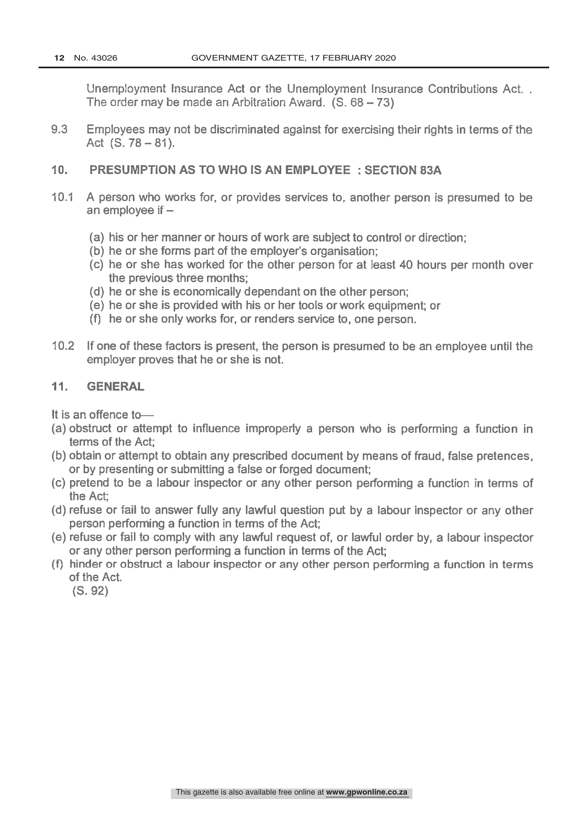Unemployment Insurance Act or the Unemployment Insurance Contributions Act. . The order may be made an Arbitration Award. (S. 68 – 73)

9.3 Employees may not be discriminated against for exercising their rights in terms of the Act (S. <sup>78</sup>- 81).

## 10. PRESUMPTION AS TO WHO IS AN EMPLOYEE : SECTION 83A

- 10.1 A person who works for, or provides services to, another person is presumed to be an employee if  $-$ 
	- (a) his or her manner or hours of work are subject to control or direction;
	- (b) he or she forms part of the employer's organisation;
	- (c) he or she has worked for the other person for at least 40 hours per month over the previous three months;
	- (d) he or she is economically dependant on the other person;
	- (e) he or she is provided with his or her tools or work equipment; or
	- (f) he or she only works for, or renders service to, one person.
- 10.2 If one of these factors is present, the person is presumed to be an employee until the employer proves that he or she is not.

## 11. GENERAL

It is an offence to- $-$ 

- (a) obstruct or attempt to influence improperly a person who is performing a function ir terms of the Act;
- (b) obtain or attempt to obtain any prescribed document by means of fraud, false pretences, or by presenting or submitting a false or forged document;
- (c) pretend to be a labour inspector or any other person performing <sup>a</sup> function in terms of the Act;
- (d) refuse or fail to answer fully any lawful question put by a labour inspector or any other person performing a function in terms of the Act;
- (e) refuse or fail to comply with any lawful request of, or lawful order by, a labour inspector or any other person performing <sup>a</sup> function in terms of the Act;
- (f) hinder or obstruct a labour inspector or any other person performing <sup>a</sup> function in terms of the Act.

(S. 92)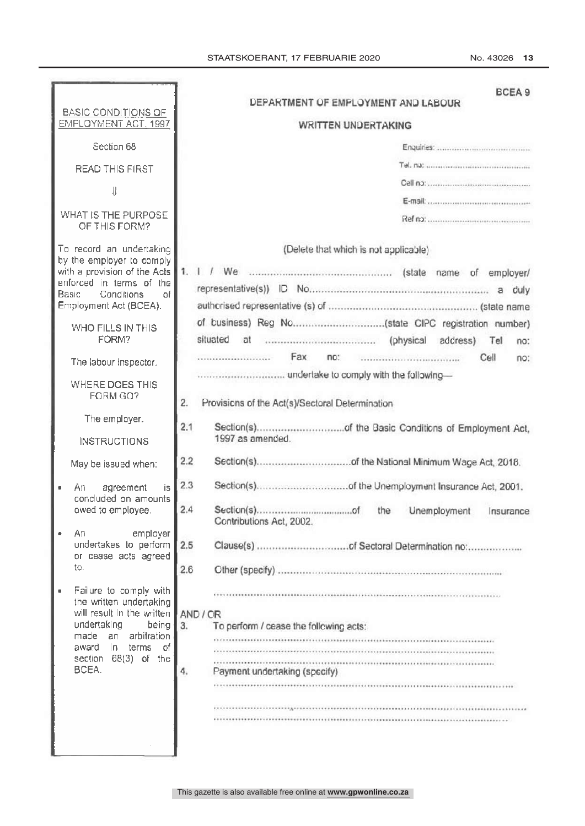|                                                                                                                                                                                                                          | <b>BCEA 9</b>                                                                                                  |  |  |  |
|--------------------------------------------------------------------------------------------------------------------------------------------------------------------------------------------------------------------------|----------------------------------------------------------------------------------------------------------------|--|--|--|
| <b>BASIC CONDITIONS OF</b>                                                                                                                                                                                               | DEPARTMENT OF EMPLOYMENT AND LABOUR                                                                            |  |  |  |
| EMPLOYMENT ACT, 1997                                                                                                                                                                                                     | <b>WRITTEN UNDERTAKING</b>                                                                                     |  |  |  |
| Section 68                                                                                                                                                                                                               |                                                                                                                |  |  |  |
| <b>READ THIS FIRST</b>                                                                                                                                                                                                   |                                                                                                                |  |  |  |
| U                                                                                                                                                                                                                        |                                                                                                                |  |  |  |
|                                                                                                                                                                                                                          |                                                                                                                |  |  |  |
| WHAT IS THE PURPOSE<br>OF THIS FORM?                                                                                                                                                                                     |                                                                                                                |  |  |  |
| To record an undertaking                                                                                                                                                                                                 | (Delete that which is not applicable)                                                                          |  |  |  |
| by the employer to comply<br>with a provision of the Acts<br>enforced in terms of the<br>Conditions<br>Basic<br>αf<br>Employment Act (BCEA).                                                                             | 1.                                                                                                             |  |  |  |
| WHO FILLS IN THIS<br>FORM?                                                                                                                                                                                               | Tel<br>no:                                                                                                     |  |  |  |
| The labour inspector.                                                                                                                                                                                                    | $\blacksquare$<br>Cell<br>no:                                                                                  |  |  |  |
| <b>WHERE DOES THIS</b><br>FORM GO?                                                                                                                                                                                       | undertake to comply with the following-<br>$\overline{2}$ .<br>Provisions of the Act(s)/Sectoral Determination |  |  |  |
| The employer.                                                                                                                                                                                                            |                                                                                                                |  |  |  |
| <b>INSTRUCTIONS</b>                                                                                                                                                                                                      | 2.1<br>1997 as amended.                                                                                        |  |  |  |
| May be issued when:                                                                                                                                                                                                      | 2.2                                                                                                            |  |  |  |
| agreement<br>An.<br>is.<br>concluded on amounts                                                                                                                                                                          | 2.3                                                                                                            |  |  |  |
| owed to employee.                                                                                                                                                                                                        | 2.4<br>the<br>Unemployment<br>Insurance<br>Contributions Act, 2002.                                            |  |  |  |
| employer<br>Aп<br>undertakes to perform<br>or cease acts agreed                                                                                                                                                          | 2.5                                                                                                            |  |  |  |
| to.                                                                                                                                                                                                                      | 2.6                                                                                                            |  |  |  |
| Failure to comply with<br>$\blacksquare$<br>the written undertaking<br>will result in the written<br>undertaking<br>being<br>made<br>arbitration<br>an<br>terms<br>award<br>in.<br>- of<br>section 68(3) of the<br>BCEA. | AND / OR<br>3.<br>To perform / cease the following acts:<br>Payment undertaking (specify)<br>4.                |  |  |  |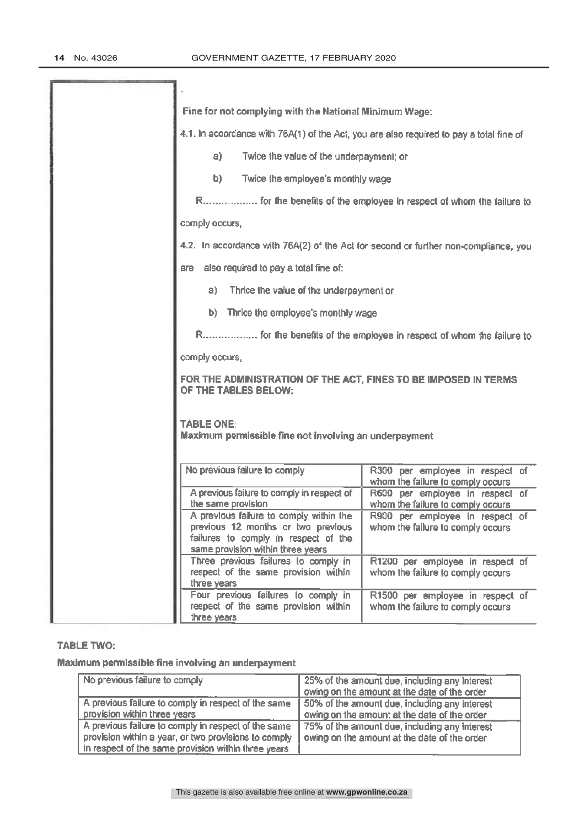| Fine for not complying with the National Minimum Wage:                                                                                                     |                                                                       |  |  |  |
|------------------------------------------------------------------------------------------------------------------------------------------------------------|-----------------------------------------------------------------------|--|--|--|
| 4.1. In accordance with 76A(1) of the Act, you are also required to pay a total fine of                                                                    |                                                                       |  |  |  |
| Twice the value of the underpayment; or<br>a)                                                                                                              |                                                                       |  |  |  |
| b)<br>Twice the employee's monthly wage                                                                                                                    |                                                                       |  |  |  |
| R for the benefits of the employee in respect of whom the failure to                                                                                       |                                                                       |  |  |  |
| comply occurs,                                                                                                                                             |                                                                       |  |  |  |
| 4.2. In accordance with 76A(2) of the Act for second or further non-compliance, you                                                                        |                                                                       |  |  |  |
|                                                                                                                                                            |                                                                       |  |  |  |
| also required to pay a total fine of:<br>are                                                                                                               |                                                                       |  |  |  |
| Thrice the value of the underpayment or<br>a).                                                                                                             |                                                                       |  |  |  |
| b)<br>Thrice the employee's monthly wage                                                                                                                   |                                                                       |  |  |  |
| R for the benefits of the employee in respect of whom the failure to                                                                                       |                                                                       |  |  |  |
| comply occurs,                                                                                                                                             |                                                                       |  |  |  |
| FOR THE ADMINISTRATION OF THE ACT, FINES TO BE IMPOSED IN TERMS<br>OF THE TABLES BELOW:                                                                    |                                                                       |  |  |  |
| <b>TABLE ONE:</b><br>Maximum permissible fine not involving an underpayment                                                                                |                                                                       |  |  |  |
| No previous failure to comply<br>R300 per employee in respect of<br>whom the failure to comply occurs                                                      |                                                                       |  |  |  |
| A previous failure to comply in respect of<br>R600 per employee in respect of<br>the same provision<br>whom the failure to comply occurs                   |                                                                       |  |  |  |
| A previous failure to comply within the<br>previous 12 months or two previous<br>failures to comply in respect of the<br>same provision within three years | R900 per employee in respect of<br>whom the failure to comply occurs  |  |  |  |
| Three previous failures to comply in<br>respect of the same provision within<br>three years                                                                | R1200 per employee in respect of<br>whom the failure to comply occurs |  |  |  |
| Four previous failures to comply in<br>respect of the same provision within<br>three years                                                                 | R1500 per employee in respect of<br>whom the failure to comply occurs |  |  |  |

## TABLE TWO:

Maximum permissible fine involving an

| No previous failure to comply                        | 25% of the amount due, including any interest |  |  |
|------------------------------------------------------|-----------------------------------------------|--|--|
|                                                      | owing on the amount at the date of the order  |  |  |
| A previous failure to comply in respect of the same  | 50% of the amount due, including any interest |  |  |
| provision within three years                         | owing on the amount at the date of the order  |  |  |
| A previous failure to comply in respect of the same  | 75% of the amount due, including any interest |  |  |
| provision within a year, or two provisions to comply | owing on the amount at the date of the order  |  |  |
| in respect of the same provision within three years  |                                               |  |  |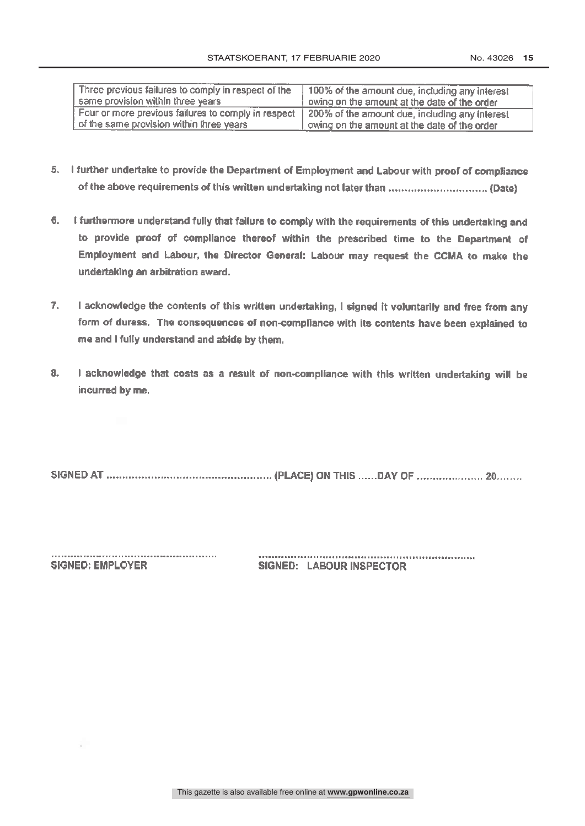| Three previous failures to comply in respect of the                                                                                              | 100% of the amount due, including any interest |
|--------------------------------------------------------------------------------------------------------------------------------------------------|------------------------------------------------|
| same provision within three years                                                                                                                | owing on the amount at the date of the order   |
| Four or more previous failures to comply in respect   200% of the amount due, including any interest<br>of the same provision within three years | owing on the amount at the date of the order   |

- 5. I further undertake to provide the Department of Employment and Labour with proof of compliance of the above requirements of this written undertaking not later than ............................... (Date)
- 6. <sup>I</sup>furthermore understand fully that failure to comply with the requirements of this undertaking and to provide proof of compliance thereof within the prescribed time to the Department of Employment and Labour, the Director General: Labour may request the CCMA to make the undertaking an arbitration award.
- 7. I acknowledge the contents of this written undertaking, I signed it voluntarily and free from any form of duress. The consequences of non-compliance with its contents have been explained to me and I fully understand and abide by them.
- 8. I acknowledge that costs as a result of non-compliance with this written undertaking will be incurred by me.

**SIGNED: EMPLOYER** 

**SIGNED: LABOUR INSPECTOR**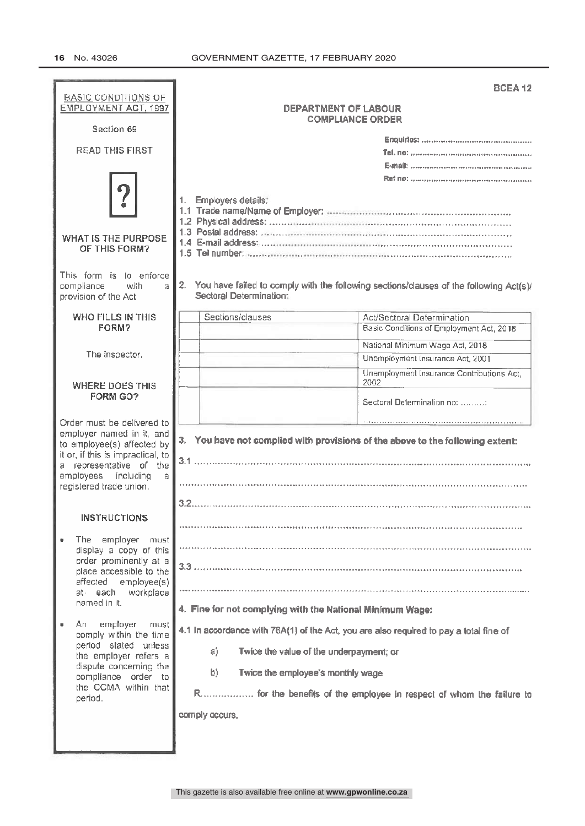| <b>BASIC CONDITIONS OF</b>                                                                                                                                                                                   |                                                                                                         | BCEA 12                                                                                |  |  |  |
|--------------------------------------------------------------------------------------------------------------------------------------------------------------------------------------------------------------|---------------------------------------------------------------------------------------------------------|----------------------------------------------------------------------------------------|--|--|--|
| EMPLOYMENT ACT, 1997                                                                                                                                                                                         | <b>DEPARTMENT OF LABOUR</b><br><b>COMPLIANCE ORDER</b>                                                  |                                                                                        |  |  |  |
| Section 69                                                                                                                                                                                                   |                                                                                                         |                                                                                        |  |  |  |
| <b>READ THIS FIRST</b>                                                                                                                                                                                       |                                                                                                         |                                                                                        |  |  |  |
|                                                                                                                                                                                                              | <b>Employers details:</b><br>1.<br>1.1 Trade name/Name of Employer: www.communication.communication.com |                                                                                        |  |  |  |
| <b>WHAT IS THE PURPOSE</b><br>OF THIS FORM?                                                                                                                                                                  |                                                                                                         |                                                                                        |  |  |  |
| This form is to enforce<br>compliance<br>with<br>a.<br>provision of the Act                                                                                                                                  | 2.<br>Sectoral Determination:                                                                           | You have failed to comply with the following sections/clauses of the following Act(s)/ |  |  |  |
| WHO FILLS IN THIS                                                                                                                                                                                            | Sections/clauses                                                                                        | Act/Sectoral Determination                                                             |  |  |  |
| FORM?                                                                                                                                                                                                        |                                                                                                         | Basic Conditions of Employment Act, 2018                                               |  |  |  |
|                                                                                                                                                                                                              |                                                                                                         | National Minimum Wage Act, 2018                                                        |  |  |  |
| The inspector.                                                                                                                                                                                               |                                                                                                         | Uncmployment Insurance Act, 2001                                                       |  |  |  |
| <b>WHERE DOES THIS</b>                                                                                                                                                                                       |                                                                                                         | Unemployment Insurance Contributions Act,<br>2002                                      |  |  |  |
| FORM GO?                                                                                                                                                                                                     |                                                                                                         | Sectoral Determination no: :                                                           |  |  |  |
| Order must be delivered to<br>employer named in it, and<br>to employee(s) affected by<br>it or, if this is impractical, to<br>a representative of the<br>employees including<br>a<br>registered trade union. | 3. You have not complied with provisions of the above to the following extent:<br>3.2                   |                                                                                        |  |  |  |
| <b>INSTRUCTIONS</b>                                                                                                                                                                                          |                                                                                                         |                                                                                        |  |  |  |
| The employer must<br>display a copy of this<br>order prominently at a<br>place accessible to the<br>affected<br>employee(s)<br>at each workplace<br>named in it.                                             | 4. Fine for not complying with the National Minimum Wage:                                               |                                                                                        |  |  |  |
| employer<br>An i<br>must<br>comply within the time                                                                                                                                                           | 4.1 In accordance with 76A(1) of the Act, you are also required to pay a total fine of                  |                                                                                        |  |  |  |
| period stated unless<br>the employer refers a                                                                                                                                                                | a)<br>Twice the value of the underpayment; or                                                           |                                                                                        |  |  |  |
| dispute concerning the<br>compliance order to                                                                                                                                                                | b).<br>Twice the employee's monthly wage                                                                |                                                                                        |  |  |  |
| the CCMA within that<br>period.                                                                                                                                                                              |                                                                                                         | R for the benefits of the employee in respect of whom the failure to                   |  |  |  |
|                                                                                                                                                                                                              | comply occurs,                                                                                          |                                                                                        |  |  |  |
|                                                                                                                                                                                                              |                                                                                                         |                                                                                        |  |  |  |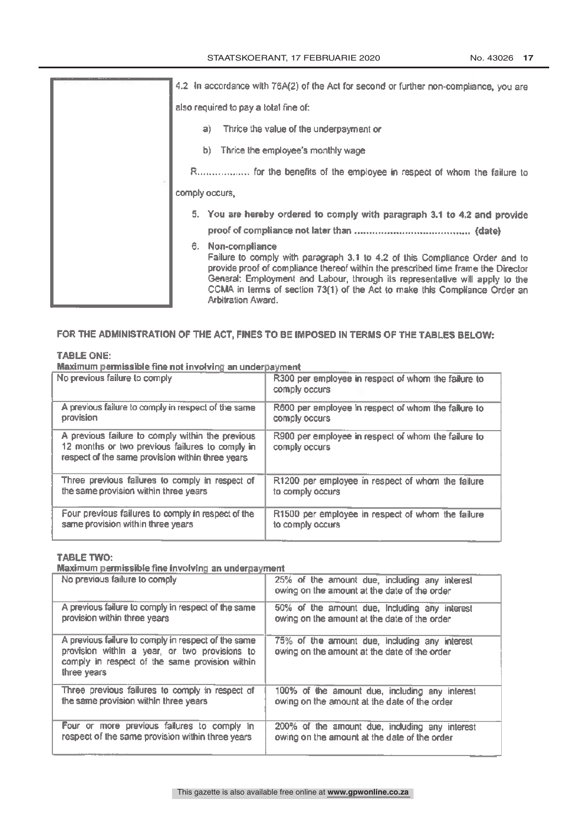4.2 In accordance with 76A(2) of the Act for second or further non-compliance, you are also required to pay a total fine of: a) Thrice the value of the underpayment or b) Thrice the employee's monthly wage R.................. for the benefits of the employee in respect of whom the failure to comply occurs, 5. You are hereby ordered to comply with paragraph 3.1 to 4.2 and provide proof of compliance not later than (date) 6. Non -compliance Failure to comply with paragraph 3.1 to 4.2 of this Compliance Order and to provide proof of compliance thereof within the prescribed time frame the Director General: Employment and Labour, through its representative will apply to the CCMA in terms of section 73(1) of the Act to make this Compliance Order an Arbitration Award.

FOR THE ADMINISTRATION OF THE ACT, FINES TO BE IMPOSED IN TERMS OF THE TABLES BELOW:

#### TABLE ONE:

Maximum permissible fine not involving an underpayment

| _____                                                                                                                                                   |                                                                      |
|---------------------------------------------------------------------------------------------------------------------------------------------------------|----------------------------------------------------------------------|
| No previous failure to comply                                                                                                                           | R300 per employee in respect of whom the failure to<br>comply occurs |
| A previous failure to comply in respect of the same                                                                                                     | R600 per employee in respect of whom the failure to                  |
| provision                                                                                                                                               | comply occurs                                                        |
| A previous failure to comply within the previous<br>12 months or two previous failures to comply in<br>respect of the same provision within three years | R900 per employee in respect of whom the failure to<br>comply occurs |
| Three previous failures to comply in respect of                                                                                                         | R1200 per employee in respect of whom the failure                    |
| the same provision within three years                                                                                                                   | to comply occurs                                                     |
| Four previous failures to comply in respect of the                                                                                                      | R1500 per employee in respect of whom the failure                    |
| same provision within three years                                                                                                                       | to comply occurs                                                     |

#### TABLE TWO:

Maximum permissible fine involving an underpayment

| No previous failure to comply                                                                                                                                         | 25% of the amount due, including any interest<br>owing on the amount at the date of the order |
|-----------------------------------------------------------------------------------------------------------------------------------------------------------------------|-----------------------------------------------------------------------------------------------|
| A previous failure to comply in respect of the same                                                                                                                   | 50% of the amount due, including any interest                                                 |
| provision within three years                                                                                                                                          | owing on the amount at the date of the order                                                  |
| A previous failure to comply in respect of the same<br>provision within a year, or two provisions to<br>comply in respect of the same provision within<br>three years | 75% of the amount due, including any interest<br>owing on the amount at the date of the order |
| Three previous failures to comply in respect of                                                                                                                       | 100% of the amount due, including any interest                                                |
| the same provision within three years                                                                                                                                 | owing on the amount at the date of the order                                                  |
| Four or more previous failures to comply in                                                                                                                           | 200% of the amount due, including any interest                                                |
| respect of the same provision within three years                                                                                                                      | owing on the amount at the date of the order                                                  |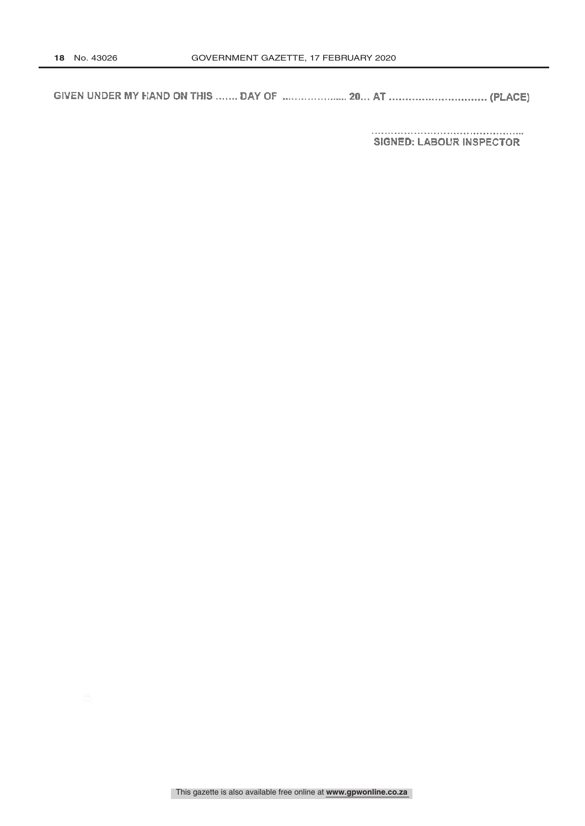GIVEN UNDER MY HAND ON THIS ....... DAY OF ........................... 20... AT .............................. (PLACE)

**SIGNED: LABOUR INSPECTOR**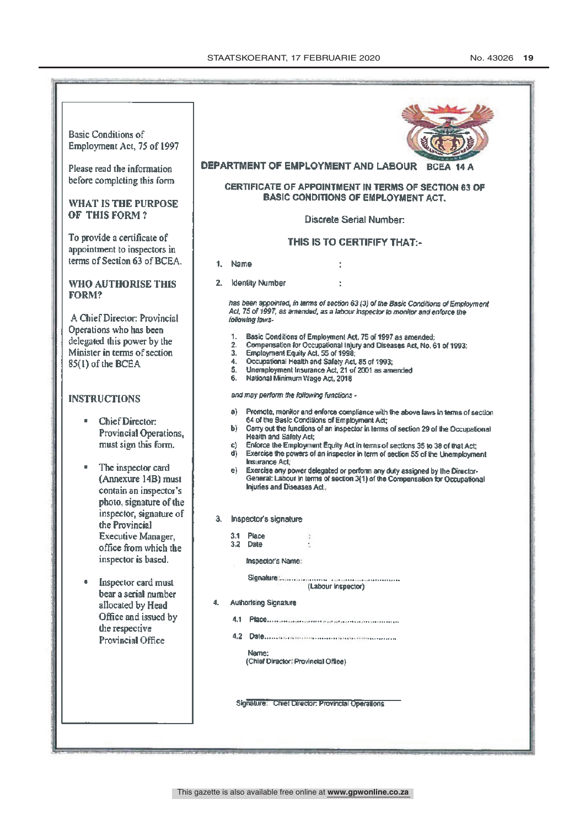| <b>Basic Conditions of</b><br>Employment Act, 75 of 1997<br>DEPARTMENT OF EMPLOYMENT AND LABOUR<br><b>BCEA</b><br>Please read the information<br>before completing this form<br>CERTIFICATE OF APPOINTMENT IN TERMS OF SECTION 63 OF<br><b>BASIC CONDITIONS OF EMPLOYMENT ACT.</b><br><b>WHAT IS THE PURPOSE</b><br>OF THIS FORM?<br>Discrete Serial Number:<br>To provide a certificate of<br>THIS IS TO CERTIFIFY THAT:-<br>appointment to inspectors in<br>terms of Section 63 of BCEA.<br>Name<br>1.<br>2.<br><b>Identity Number</b><br>WHO AUTHORISE THIS<br><b>FORM?</b><br>has been appointed, in terms of section 63 (3) of the Basic Conditions of Employment<br>Act, 75 of 1997, as amended, as a labour inspector to monitor and enforce the<br>A Chief Director: Provincial<br>following faws-<br>Operations who has been<br>Basic Conditions of Employment Act, 75 of 1997 as amended;<br>1.<br>delegated this power by the<br>Compensation for Occupational Injury and Diseases Act, No. 61 of 1993;<br>2.<br>Minister in terms of section<br>Employment Equity Act, 55 of 1998;<br>з.<br>Occupational Health and Safety Act, 85 of 1993;<br>4.<br>85(1) of the BCEA<br>5.<br>Unemployment Insurance Act, 21 of 2001 as amended<br>National Minimum Wage Act, 2018<br>6.<br>and may perform the following functions -<br><b>INSTRUCTIONS</b><br>Promote, monitor and enforce compliance with the above laws in terms of section<br>a).<br>64 of the Basic Conditions of Employment Act;<br><b>Chief Director:</b><br>b) Carry out the functions of an inspector in terms of section 29 of the Occupational<br>Provincial Operations,<br><b>Health and Safety Act;</b><br>must sign this form.<br>Enforce the Employment Equity Act in terms of sections 35 to 38 of that Act;<br>C).<br>d).<br>Exercise the powers of an inspector in term of section 55 of the Unemployment<br><b>Insurance Act:</b><br>The inspector card<br>ш<br>Exercise any power delegated or perform any duty assigned by the Director-<br>e).<br>(Annexure 14B) must<br>General: Labour In terms of section 3(1) of the Compensation for Occupational<br><b>Injuries and Diseases Act:</b><br>contain an inspector's<br>photo, signature of the<br>inspector, signature of<br>Inspector's signature<br>the Provincial<br>Executive Manager,<br>Place<br>3.1<br>3.2<br>Date<br>office from which the<br>inspector is based.<br>Inspector's Name:<br>Inspector card must<br>G<br>(Labour Inspector) |
|-----------------------------------------------------------------------------------------------------------------------------------------------------------------------------------------------------------------------------------------------------------------------------------------------------------------------------------------------------------------------------------------------------------------------------------------------------------------------------------------------------------------------------------------------------------------------------------------------------------------------------------------------------------------------------------------------------------------------------------------------------------------------------------------------------------------------------------------------------------------------------------------------------------------------------------------------------------------------------------------------------------------------------------------------------------------------------------------------------------------------------------------------------------------------------------------------------------------------------------------------------------------------------------------------------------------------------------------------------------------------------------------------------------------------------------------------------------------------------------------------------------------------------------------------------------------------------------------------------------------------------------------------------------------------------------------------------------------------------------------------------------------------------------------------------------------------------------------------------------------------------------------------------------------------------------------------------------------------------------------------------------------------------------------------------------------------------------------------------------------------------------------------------------------------------------------------------------------------------------------------------------------------------------------------------------------------------------------------------------------------------------------------------------------------------------------------------------------------------------------|
|                                                                                                                                                                                                                                                                                                                                                                                                                                                                                                                                                                                                                                                                                                                                                                                                                                                                                                                                                                                                                                                                                                                                                                                                                                                                                                                                                                                                                                                                                                                                                                                                                                                                                                                                                                                                                                                                                                                                                                                                                                                                                                                                                                                                                                                                                                                                                                                                                                                                                         |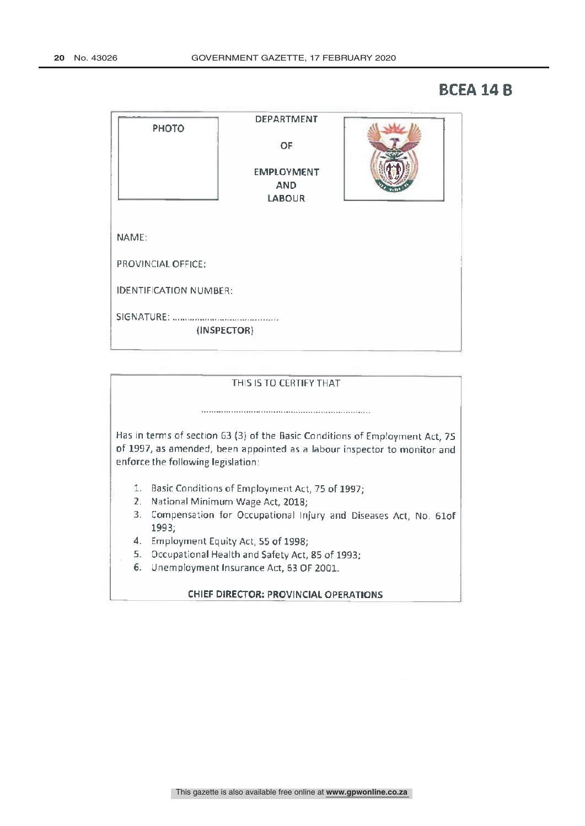## **BCEA 14 B**



## THIS IS TO CERTIFY THAT

Has in terms of section 63 (3) of the Basic Conditions of Employment Act, <sup>75</sup> of 1997, as amended, been appointed as <sup>a</sup> labour inspector to monitor and enforce the following legislation:

- 1. Basic Conditions of Employment Act, 75 of 1997;
- 2. National Minimum Wage Act, 2018;
- 3. Compensation for Occupational Injury and Diseases Act, No. 61of 1993;
- 4. Employment Equity Act, 55 of 1998;
- 5. Occupational Health and Safety Act, 85 of 1993;
- 6. Unemployment Insurance Act, 63 OF 2001.

#### CHIEF DIRECTOR: PROVINCIAL OPERATIONS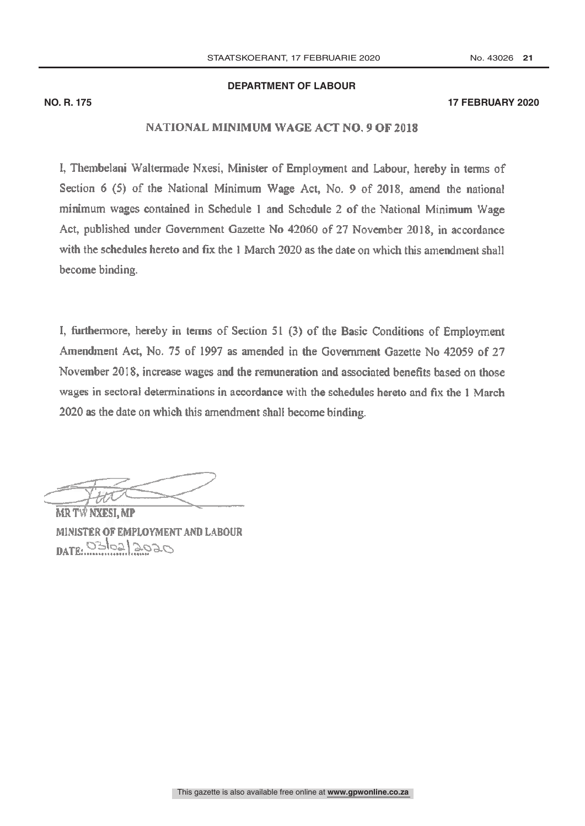**DEPARTMENT OF LABOUR**

#### **NO. R. 175 17 FEBRUARY 2020**

### NATIONAL MINIMUM WAGE ACT NO.9 OF 2018

I, Thembelani Waltermade Nxesi, Minister of Employment and Labour, hereby in terms of Section 6 (5) of the National Minimum Wage Act, No. 9 of 2018, amend the national minimum wages contained in Schedule 1 and Schedule 2 of the National Minimum Wage Act, published under Government Gazette No 42060 of 27 November 2018, in accordance with the schedules hereto and fix the 1 March 2020 as the date on which this amendment shall become binding.

I, furthermore, hereby in terms of Section 51 (3) of the Basic Conditions of Employment Amendment Act, No. 75 of 1997 as amended in the Government Gazette No 42059 of 27 November 2018, increase wages and the remuneration and associated benefits based on those wages in sectoral determinations in accordance with the schedules hereto and fix the 1 March 2020 as the date on which this amendment shall become binding.

**MR TW NXESL MP** 

MINISTER OF EMPLOYMENT AND LABOUR 0202 lsc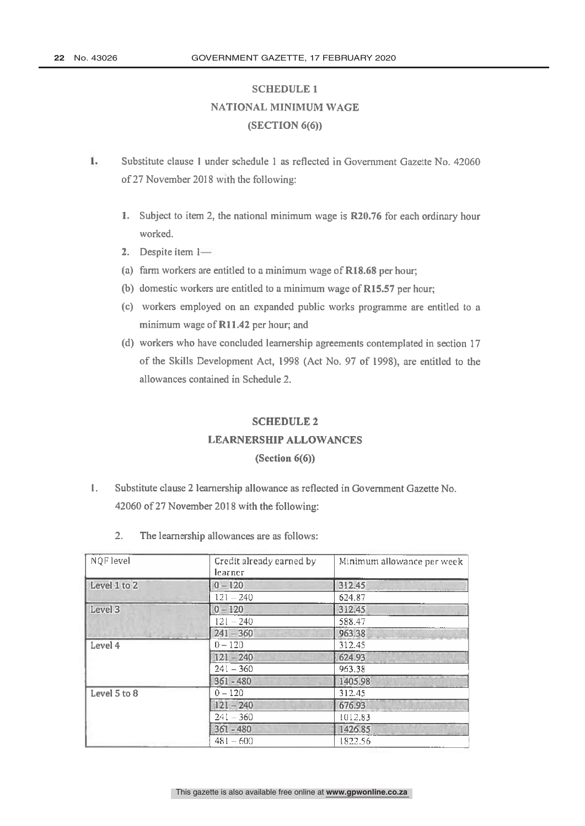# NATIONAL MINIMUM WAGE (SECTION 6(6))

Substitute clause 1 under schedule 1 as reflected in Government Gazette No. 42060 1. of 27 November 2018 with the following:

- 1. Subject to item 2, the national minimum wage is R20.76 for each ordinary hour worked.
- 2. Despite item <sup>1</sup>
- (a) farm workers are entitled to a minimum wage of R18.68 per hour;
- (b) domestic workers are entitled to a minimum wage of R15.57 per hour;
- (c) workers employed on an expanded public works programme are entitled to a minimum wage of R11.42 per hour; and
- (d) workers who have concluded leamership agreements contemplated in section 17 of the Skills Development Act, 1998 (Act No. 97 of 1998), are entitled to the allowances contained in Schedule 2.

### SCHEDULE 2

### LEARNERSHIP ALLOWANCES

### (Section 6(6))

- 1. Substitute clause 2 learnership allowance as reflected in Government Gazette No. 42060 of 27 November 2018 with the following:
	- 2. The learnership allowances are as follows:

| NOF level    | Credit already earned by<br>learner | Minimum allowance per week |  |  |
|--------------|-------------------------------------|----------------------------|--|--|
| Level 1 to 2 | $0 - 120$                           | 312.45                     |  |  |
|              | $121 - 240$                         | 624.87                     |  |  |
| Level 3      | $0 - 120$                           | 312.45                     |  |  |
|              | $121 - 240$                         | 588.47                     |  |  |
|              | $241 - 360$                         | 963.38                     |  |  |
| Level 4      | $0 - 120$                           | 312.45                     |  |  |
|              | $121 - 240$                         | 624.93                     |  |  |
|              | $241 - 360$                         | 963.38                     |  |  |
|              | $361 - 480$                         | 1405.98                    |  |  |
| Level 5 to 8 | $0 - 120$                           | 312.45                     |  |  |
|              | $121 - 240$                         | 676.93                     |  |  |
|              | $241 - 360$                         | 1012.83                    |  |  |
|              | $361 - 480$                         | 1426.85                    |  |  |
|              | $481 - 600$                         | 1822.56                    |  |  |

## SCHEDULE 1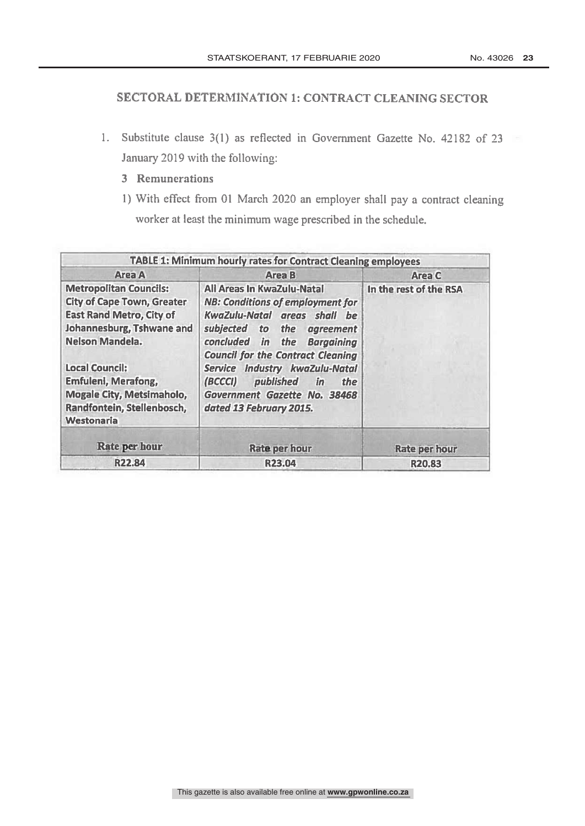## SECTORAL DETERMINATION 1: CONTRACT CLEANING SECTOR

- 1. Substitute clause 3(1) as reflected in Government Gazette No. 42182 of 23 January 2019 with the following:
	- 3 Remunerations
	- 1) With effect from 01 March 2020 an employer shall pay a contract cleaning worker at least the minimum wage prescribed in the schedule.

| <b>Area A</b>                                                                                                                                         | <b>Area B</b>                                                                                                                                                                                                  | <b>Area C</b>          |  |
|-------------------------------------------------------------------------------------------------------------------------------------------------------|----------------------------------------------------------------------------------------------------------------------------------------------------------------------------------------------------------------|------------------------|--|
| <b>Metropolitan Councils:</b><br><b>City of Cape Town, Greater</b><br><b>East Rand Metro, City of</b><br>Johannesburg, Tshwane and<br>Nelson Mandela. | All Areas In KwaZulu-Natal<br><b>NB: Conditions of employment for</b><br>KwaZulu-Natal areas shall be<br>subjected to the agreement<br>concluded in the Bargaining<br><b>Council for the Contract Cleaning</b> | In the rest of the RSA |  |
| <b>Local Council:</b><br>Emfuleni, Merafong,<br>Mogale City, Metsimaholo,<br>Randfontein, Stellenbosch,<br>Westonaria                                 | Service Industry kwaZulu-Natal<br>(BCCCI) published in the<br>Government Gazette No. 38468<br>dated 13 February 2015.                                                                                          |                        |  |
| <b>Rate per hour</b>                                                                                                                                  | Rate per hour                                                                                                                                                                                                  | Rate per hour          |  |
| <b>R22.84</b>                                                                                                                                         | R23.04                                                                                                                                                                                                         | R20.83                 |  |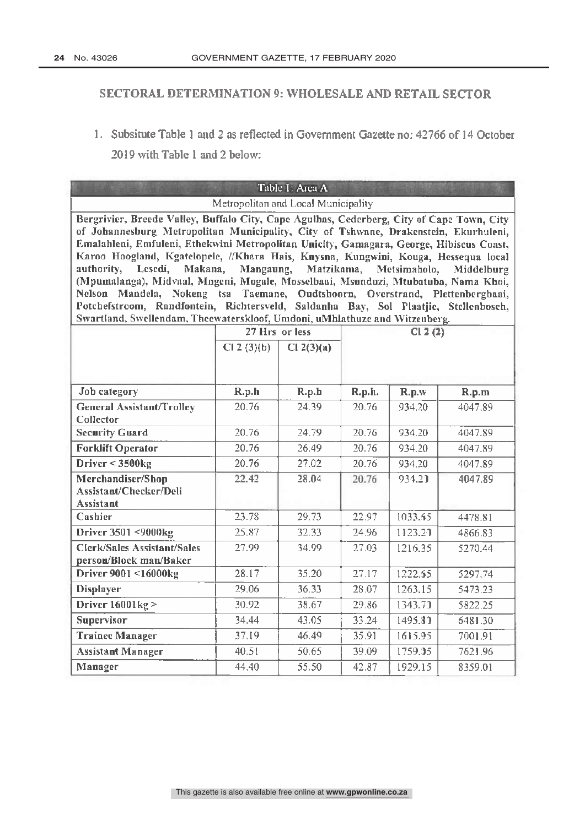## **SECTORAL DETERMINATION 9: WHOLESALE AND RETAIL SECTOR**

1. Subsitute Table 1 and 2 as reflected in Government Gazette no: 42766 of 14 October 2019 with Table 1 and 2 below:

| Table 1: Area A                                                                                                                                                                                                                                                                                                                                                                                                                                                                                                                                                                                                                                                                                                                                                                                                                                                                  |       |       |        |         |         |  |
|----------------------------------------------------------------------------------------------------------------------------------------------------------------------------------------------------------------------------------------------------------------------------------------------------------------------------------------------------------------------------------------------------------------------------------------------------------------------------------------------------------------------------------------------------------------------------------------------------------------------------------------------------------------------------------------------------------------------------------------------------------------------------------------------------------------------------------------------------------------------------------|-------|-------|--------|---------|---------|--|
| Metropolitan and Local Municipality                                                                                                                                                                                                                                                                                                                                                                                                                                                                                                                                                                                                                                                                                                                                                                                                                                              |       |       |        |         |         |  |
| Bergrivier, Breede Valley, Buffalo City, Cape Agulhas, Cederberg, City of Cape Town, City<br>of Johannesburg Metropolitan Municipality, City of Tshwane, Drakenstein, Ekurhuleni,<br>Emalahleni, Emfuleni, Ethekwini Metropolitan Unicity, Gamagara, George, Hibiscus Coast,<br>Karoo Hoogland, Kgatelopele, //Khara Hais, Knysna, Kungwini, Kouga, Hessequa local<br>Lesedi,<br>Makana,<br>Mangaung,<br>Matzikama, Metsimaholo,<br>authority,<br>Middelburg<br>(Mpumalanga), Midvaal, Mngeni, Mogale, Mosselbaai, Msunduzi, Mtubatuba, Nama Khoi,<br>Nelson Mandela, Nokeng tsa Taemane, Oudtshoorn,<br>Overstrand, Plettenbergbaai,<br>Potchefstroom, Randfontein, Richtersveld, Saldanha Bay, Sol Plaatjie, Stellenbosch,<br>Swartland, Swellendam, Theewaterskloof, Umdoni, uMhlathuze and Witzenberg.<br>27 Hrs or less<br>Cl <sub>2</sub> (2)<br>Cl 2 (3)(b)<br>Cl 2(3)(a) |       |       |        |         |         |  |
| Job category                                                                                                                                                                                                                                                                                                                                                                                                                                                                                                                                                                                                                                                                                                                                                                                                                                                                     | R.p.h | R.p.h | R.p.h. | R.p.w   | R.p.m   |  |
| <b>General Assistant/Trolley</b><br>Collector                                                                                                                                                                                                                                                                                                                                                                                                                                                                                                                                                                                                                                                                                                                                                                                                                                    | 20.76 | 24.39 | 20.76  | 934.20  | 4047.89 |  |
| <b>Security Guard</b>                                                                                                                                                                                                                                                                                                                                                                                                                                                                                                                                                                                                                                                                                                                                                                                                                                                            | 20.76 | 24.79 | 20.76  | 934.20  | 4047.89 |  |
| <b>Forklift Operator</b>                                                                                                                                                                                                                                                                                                                                                                                                                                                                                                                                                                                                                                                                                                                                                                                                                                                         | 20.76 | 26.49 | 20.76  | 934.20  | 4047.89 |  |
| Driver < 3500kg                                                                                                                                                                                                                                                                                                                                                                                                                                                                                                                                                                                                                                                                                                                                                                                                                                                                  | 20.76 | 27.02 | 20.76  | 934.20  | 4047.89 |  |
| Merchandiser/Shop<br>Assistant/Checker/Deli<br><b>Assistant</b>                                                                                                                                                                                                                                                                                                                                                                                                                                                                                                                                                                                                                                                                                                                                                                                                                  | 22.42 | 28.04 | 20.76  | 934.20  | 4047.89 |  |
| Cashier                                                                                                                                                                                                                                                                                                                                                                                                                                                                                                                                                                                                                                                                                                                                                                                                                                                                          | 23.78 | 29.73 | 22.97  | 1033.65 | 4478.81 |  |
| Driver 3501 <9000kg                                                                                                                                                                                                                                                                                                                                                                                                                                                                                                                                                                                                                                                                                                                                                                                                                                                              | 25.87 | 32.33 | 24.96  | 1123.20 | 4866.83 |  |
| <b>Clerk/Sales Assistant/Sales</b><br>person/Block man/Baker                                                                                                                                                                                                                                                                                                                                                                                                                                                                                                                                                                                                                                                                                                                                                                                                                     | 27.99 | 34.99 | 27.03  | 1216.35 | 5270.44 |  |
| Driver 9001 <16000kg                                                                                                                                                                                                                                                                                                                                                                                                                                                                                                                                                                                                                                                                                                                                                                                                                                                             | 28.17 | 35.20 | 27.17  | 1222.65 | 5297.74 |  |
| <b>Displayer</b>                                                                                                                                                                                                                                                                                                                                                                                                                                                                                                                                                                                                                                                                                                                                                                                                                                                                 | 29.06 | 36.33 | 28.07  | 1263.15 | 5473.23 |  |
| Driver 16001kg >                                                                                                                                                                                                                                                                                                                                                                                                                                                                                                                                                                                                                                                                                                                                                                                                                                                                 | 30.92 | 38.67 | 29.86  | 1343.70 | 5822.25 |  |
| Supervisor                                                                                                                                                                                                                                                                                                                                                                                                                                                                                                                                                                                                                                                                                                                                                                                                                                                                       | 34.44 | 43.05 | 33.24  | 1495.80 | 6481.30 |  |
| <b>Trainee Manager</b>                                                                                                                                                                                                                                                                                                                                                                                                                                                                                                                                                                                                                                                                                                                                                                                                                                                           | 37.19 | 46.49 | 35.91  | 1615.95 | 7001.91 |  |
| <b>Assistant Manager</b>                                                                                                                                                                                                                                                                                                                                                                                                                                                                                                                                                                                                                                                                                                                                                                                                                                                         | 40.51 | 50.65 | 39.09  | 1759.05 | 7621.96 |  |
| Manager                                                                                                                                                                                                                                                                                                                                                                                                                                                                                                                                                                                                                                                                                                                                                                                                                                                                          | 44.40 | 55.50 | 42.87  | 1929.15 | 8359.01 |  |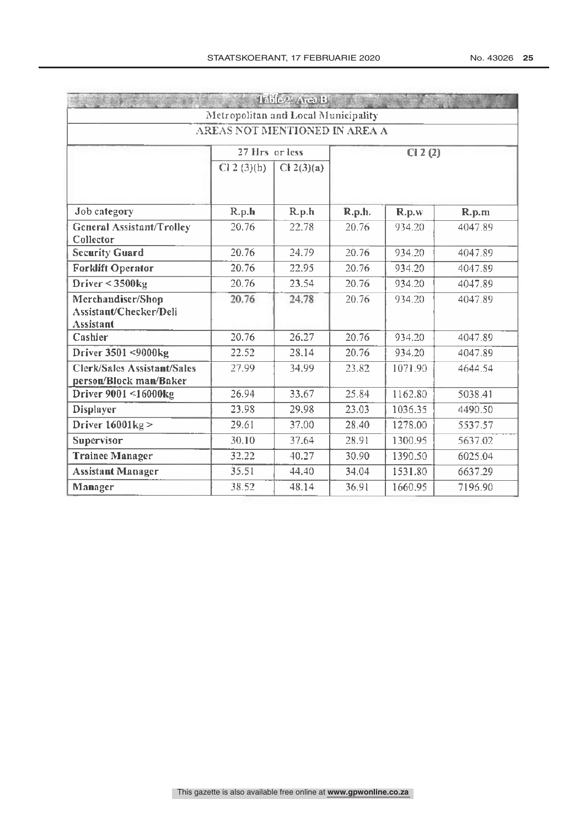|  | No. 43026 | 25 |
|--|-----------|----|
|--|-----------|----|

| Table <sup>2</sup> : Area B                                     |                |            |                     |         |         |  |  |
|-----------------------------------------------------------------|----------------|------------|---------------------|---------|---------|--|--|
| Metropolitan and Local Municipality                             |                |            |                     |         |         |  |  |
| AREAS NOT MENTIONED IN AREA A                                   |                |            |                     |         |         |  |  |
|                                                                 | 27 Hrs or less |            | Cl <sub>2</sub> (2) |         |         |  |  |
|                                                                 | Cl 2 (3)(b)    | Cl 2(3)(a) |                     |         |         |  |  |
| Job category                                                    | R.p.h          | R.p.h      | R.p.h.              | R.p.w   | R.p.m   |  |  |
| <b>General Assistant/Trolley</b><br>Collector                   | 20.76          | 22.78      | 20.76               | 934.20  | 4047.89 |  |  |
| <b>Security Guard</b>                                           | 20.76          | 24.79      | 20.76               | 934.20  | 4047.89 |  |  |
| <b>Forklift Operator</b>                                        | 20.76          | 22.95      | 20.76               | 934.20  | 4047.89 |  |  |
| Driver < 3500kg                                                 | 20.76          | 23.54      | 20.76               | 934.20  | 4047.89 |  |  |
| Merchandiser/Shop<br>Assistant/Checker/Deli<br><b>Assistant</b> | 20.76          | 24.78      | 20.76               | 934.20  | 4047.89 |  |  |
| Cashier                                                         | 20.76          | 26.27      | 20.76               | 934.20  | 4047.89 |  |  |
| Driver 3501 <9000kg                                             | 22.52          | 28.14      | 20.76               | 934.20  | 4047.89 |  |  |
| <b>Clerk/Sales Assistant/Sales</b><br>person/Block man/Baker    | 27.99          | 34.99      | 23.82               | 1071.90 | 4644.54 |  |  |
| Driver 9001 <16000kg                                            | 26.94          | 33.67      | 25.84               | 1162.80 | 5038.41 |  |  |
| <b>Displayer</b>                                                | 23.98          | 29.98      | 23.03               | 1036.35 | 4490.50 |  |  |
| Driver 16001kg >                                                | 29.61          | 37.00      | 28.40               | 1278.00 | 5537.57 |  |  |
| Supervisor                                                      | 30.10          | 37.64      | 28.91               | 1300.95 | 5637.02 |  |  |
| <b>Trainee Manager</b>                                          | 32.22          | 40.27      | 30.90               | 1390.50 | 6025.04 |  |  |
| <b>Assistant Manager</b>                                        | 35.51          | 44.40      | 34.04               | 1531.80 | 6637.29 |  |  |
| Manager                                                         | 38.52          | 48.14      | 36.91               | 1660.95 | 7196.90 |  |  |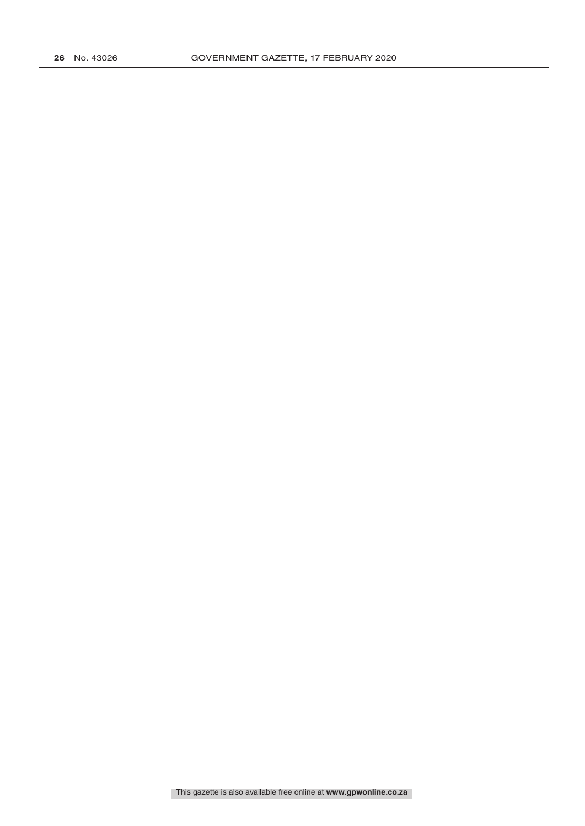This gazette is also available free online at **www.gpwonline.co.za**